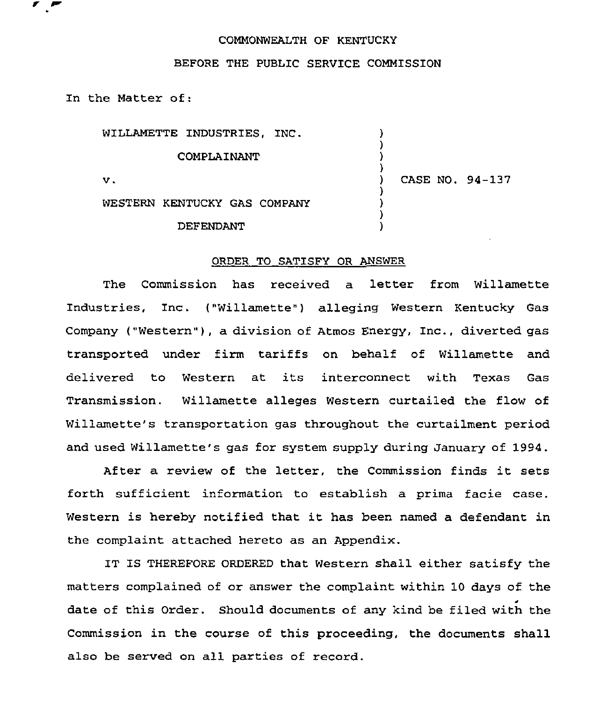## COMMONWEALTH OF KENTUCKY

## BEFORE THE PUBLIC SERVICE COMMISSION

In the Natter of:

| WILLAMETTE INDUSTRIES, INC.  |                 |
|------------------------------|-----------------|
| COMPLAINANT                  |                 |
| v.                           | CASE NO. 94-137 |
| WESTERN KENTUCKY GAS COMPANY |                 |
| DEFENDANT                    |                 |

## ORDER TO SATISFY OR ANSWER

The Commission has received a letter from Willamette Industries, Inc. {"Willamette"} alleging Western Kentucky Gas Company ("Western"), a division of Atmos Energy, Inc., diverted gas transported under firm tariffs on behalf of Willamette and delivered to Western at its interconnect with Texas Gas Transmission. Willamette alleges Western curtailed the flow of Willamette's transportation gas throughout the curtailment period and used Willamette's gas for system supply during January of 1994.

After <sup>a</sup> review of the letter, the Commission finds it sets forth sufficient information to establish a prima facie case. Western is hereby notified that it has been named <sup>a</sup> defendant in the complaint attached hereto as an Appendix.

IT IS THEREFORE ORDERED that Western shall either satisfy the matters complained of or answer the complaint within 10 days of the date of this Order. Should documents of any kind be filed with the Commission in the course of this proceeding, the documents shall also be served on all parties of record.